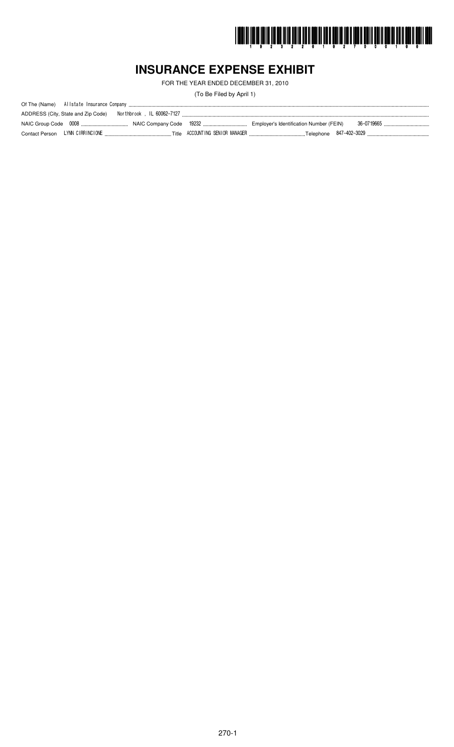

# **INSURANCE EXPENSE EXHIBIT**

FOR THE YEAR ENDED DECEMBER 31, 2010

(To Be Filed by April 1)

| ADDRESS (City, State and Zip Code) |  |                                         |            |
|------------------------------------|--|-----------------------------------------|------------|
|                                    |  | Employer's Identification Number (FEIN) | 36-0719665 |
|                                    |  |                                         |            |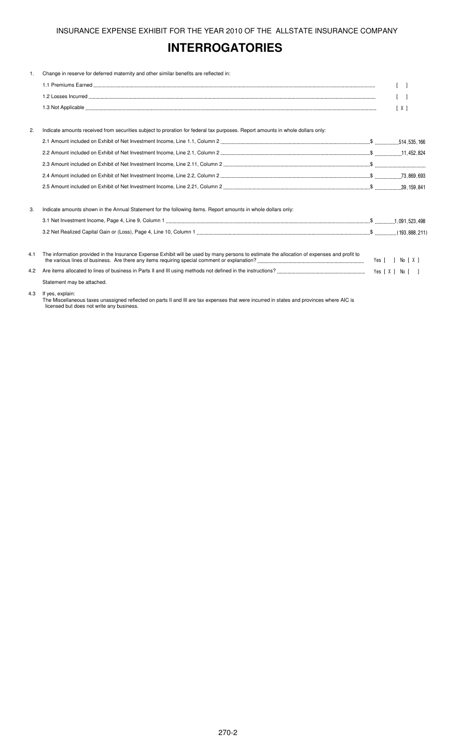# **INTERROGATORIES**

| 1.  | Change in reserve for deferred maternity and other similar benefits are reflected in:                                                       |                   |
|-----|---------------------------------------------------------------------------------------------------------------------------------------------|-------------------|
|     |                                                                                                                                             | $\lceil$ $\rceil$ |
|     |                                                                                                                                             | $\lceil$          |
|     |                                                                                                                                             | [X]               |
|     |                                                                                                                                             |                   |
| 2.  | Indicate amounts received from securities subject to proration for federal tax purposes. Report amounts in whole dollars only:              |                   |
|     |                                                                                                                                             |                   |
|     |                                                                                                                                             |                   |
|     |                                                                                                                                             |                   |
|     |                                                                                                                                             |                   |
|     |                                                                                                                                             |                   |
| 3.  | Indicate amounts shown in the Annual Statement for the following items. Report amounts in whole dollars only:                               |                   |
|     |                                                                                                                                             |                   |
|     |                                                                                                                                             |                   |
| 4.1 | The information provided in the Insurance Expense Exhibit will be used by many persons to estimate the allocation of expenses and profit to | Yes [ ] No [ X ]  |
| 4.2 |                                                                                                                                             |                   |
|     | Statement may be attached.                                                                                                                  |                   |
|     |                                                                                                                                             |                   |

4.3 If yes, explain:

The Miscellaneous taxes unassigned reflected on parts II and III are tax expenses that were incurred in states and provinces where AIC is licensed but does not write any business.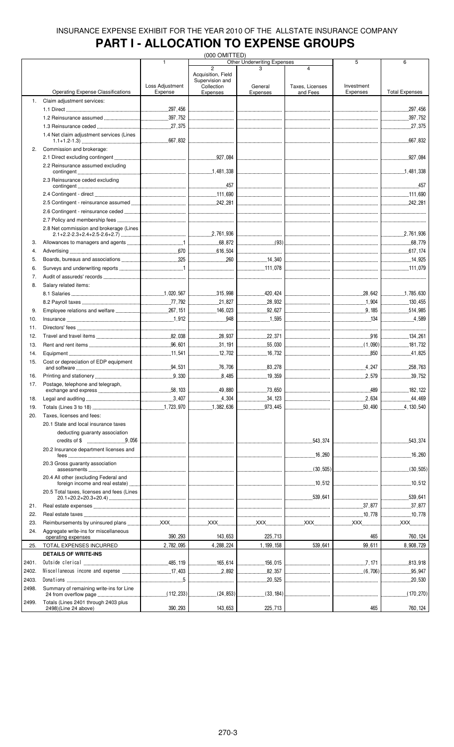# **PART I - ALLOCATION TO EXPENSE GROUPS**

|       |                                            |                                  | (000 OMITTED)                        |                             |                                         |                  |                       |
|-------|--------------------------------------------|----------------------------------|--------------------------------------|-----------------------------|-----------------------------------------|------------------|-----------------------|
|       |                                            | $\overline{1}$                   |                                      | Other Underwriting Expenses |                                         | 5                | 6                     |
|       |                                            |                                  | $\overline{2}$<br>Acquisition, Field |                             | $\overline{4}$                          |                  |                       |
|       |                                            |                                  | Supervision and                      |                             |                                         |                  |                       |
|       |                                            | Loss Adjustment                  | Collection                           | General                     | Taxes, Licenses                         | Investment       |                       |
|       | <b>Operating Expense Classifications</b>   | Expense                          | Expenses                             | Expenses                    | and Fees                                | Expenses         | <b>Total Expenses</b> |
| 1.    | Claim adjustment services:                 |                                  |                                      |                             |                                         |                  |                       |
|       |                                            |                                  |                                      |                             |                                         |                  | .297,456<br>.         |
|       |                                            |                                  |                                      |                             |                                         |                  | 397,752               |
|       |                                            |                                  |                                      |                             |                                         |                  |                       |
|       |                                            |                                  |                                      |                             |                                         |                  |                       |
|       | 1.4 Net claim adjustment services (Lines   |                                  |                                      |                             |                                         |                  | .667,832              |
|       |                                            |                                  |                                      |                             |                                         |                  |                       |
| 2.    | Commission and brokerage:                  |                                  |                                      |                             |                                         |                  |                       |
|       |                                            |                                  |                                      |                             |                                         |                  |                       |
|       | 2.2 Reinsurance assumed excluding          |                                  |                                      |                             |                                         |                  |                       |
|       |                                            |                                  |                                      |                             |                                         |                  |                       |
|       | 2.3 Reinsurance ceded excluding            |                                  |                                      |                             |                                         |                  |                       |
|       |                                            |                                  | .457                                 |                             |                                         |                  | .457                  |
|       |                                            |                                  |                                      |                             | _________________________________       |                  |                       |
|       |                                            |                                  |                                      |                             |                                         |                  |                       |
|       |                                            |                                  |                                      |                             |                                         |                  |                       |
|       |                                            |                                  |                                      |                             |                                         |                  |                       |
|       |                                            |                                  |                                      |                             |                                         |                  |                       |
|       | 2.8 Net commission and brokerage (Lines    |                                  |                                      |                             |                                         |                  |                       |
|       |                                            |                                  |                                      |                             | <br> ---------------------------------- |                  | 2,761,936             |
| 3.    |                                            |                                  |                                      | $\frac{1}{2}$ (93)          |                                         |                  |                       |
| 4.    |                                            |                                  |                                      |                             |                                         |                  |                       |
| 5.    |                                            |                                  |                                      |                             |                                         |                  |                       |
| 6.    |                                            |                                  |                                      |                             |                                         |                  |                       |
|       |                                            |                                  |                                      |                             |                                         |                  |                       |
| 7.    |                                            |                                  |                                      |                             |                                         |                  |                       |
| 8.    | Salary related items:                      |                                  |                                      |                             |                                         |                  |                       |
|       |                                            |                                  |                                      |                             |                                         |                  |                       |
|       |                                            |                                  |                                      | 28,932                      |                                         | 1,904            |                       |
| 9.    |                                            |                                  | $\ldots$ 146,023                     | $\frac{92,627}{2}$          |                                         | 9, 185           | .514,985<br>.         |
|       |                                            |                                  | 948                                  |                             |                                         |                  | 4.589                 |
| 10.   |                                            |                                  |                                      |                             |                                         | 134              |                       |
| 11.   |                                            |                                  | -------------------------------      |                             |                                         |                  |                       |
| 12.   |                                            |                                  |                                      | 22,371                      |                                         | 916              | 134,261               |
| 13.   |                                            |                                  | 31.191                               | 55,030                      |                                         | $\ldots$ (1,090) |                       |
| 14.   |                                            |                                  |                                      | 16,732                      |                                         | 850              |                       |
|       |                                            |                                  |                                      |                             |                                         |                  |                       |
| 15.   | Cost or depreciation of EDP equipment      |                                  |                                      | 83.278                      |                                         |                  | 258,763               |
|       |                                            |                                  |                                      | 19,359                      |                                         | 2,579            | 39,752                |
| 16.   |                                            |                                  | 8,485                                |                             |                                         |                  |                       |
| 17.   | Postage, telephone and telegraph.          |                                  |                                      |                             |                                         |                  |                       |
|       |                                            |                                  | 49.880                               | 73.650                      |                                         |                  |                       |
| 18.   |                                            |                                  |                                      | 34, 123                     | --------------------------------        |                  | 44,469                |
| 19.   |                                            |                                  | 1,382,636                            | 973,445                     |                                         | 50,490           | 130,540               |
| 20.   | Taxes, licenses and fees:                  |                                  |                                      |                             |                                         |                  |                       |
|       | 20.1 State and local insurance taxes       |                                  |                                      |                             |                                         |                  |                       |
|       | deducting guaranty association             |                                  |                                      |                             |                                         |                  |                       |
|       |                                            |                                  |                                      |                             |                                         |                  |                       |
|       |                                            | -------------------------------- | ---------------------------------    |                             | .543,374<br>.                           |                  | 543,374               |
|       | 20.2 Insurance department licenses and     |                                  |                                      |                             |                                         |                  |                       |
|       | fees                                       |                                  |                                      |                             |                                         |                  | .16,260               |
|       | 20.3 Gross quaranty association            |                                  |                                      |                             |                                         |                  |                       |
|       |                                            |                                  |                                      |                             |                                         |                  |                       |
|       | 20.4 All other (excluding Federal and      |                                  |                                      |                             |                                         |                  |                       |
|       |                                            |                                  |                                      |                             |                                         |                  |                       |
|       | 20.5 Total taxes, licenses and fees (Lines |                                  |                                      |                             |                                         |                  |                       |
|       |                                            |                                  |                                      |                             |                                         |                  | .539,641<br>.         |
| 21.   |                                            |                                  |                                      |                             |                                         |                  | .37,877<br>.          |
| 22.   |                                            |                                  |                                      |                             | <br> ---------------------------------  | 10,778           | 10,778                |
| 23.   |                                            |                                  |                                      |                             |                                         |                  | <b>XXX</b>            |
| 24.   | Aggregate write-ins for miscellaneous      |                                  |                                      |                             |                                         |                  |                       |
|       | operating expenses                         | 390,293                          | 143,653                              | 225,713                     |                                         | 465              | 760, 124              |
| 25.   | TOTAL EXPENSES INCURRED                    | 2,782,095                        | 4,288,224                            | 1, 199, 158                 | 539,641                                 | 99,611           | 8,908,729             |
|       |                                            |                                  |                                      |                             |                                         |                  |                       |
|       | <b>DETAILS OF WRITE-INS</b>                |                                  |                                      |                             |                                         |                  |                       |
| 2401. |                                            |                                  | 165.614                              | 156,015                     |                                         | 7,171            | 813,918<br>.          |
| 2402. |                                            |                                  |                                      | 82,357                      |                                         | $\ldots$ (6,706) | 95,947                |
| 2403. |                                            |                                  | -------------------------------      | $20,525$                    |                                         |                  | .20,530               |
| 2498. | Summary of remaining write-ins for Line    |                                  |                                      |                             |                                         |                  |                       |
|       |                                            |                                  |                                      |                             |                                         |                  | (170, 270)<br>.       |
| 2499. | Totals (Lines 2401 through 2403 plus       |                                  |                                      |                             |                                         |                  |                       |
|       | 2498)(Line 24 above)                       | 390,293                          | 143,653                              | 225,713                     |                                         | 465              | 760, 124              |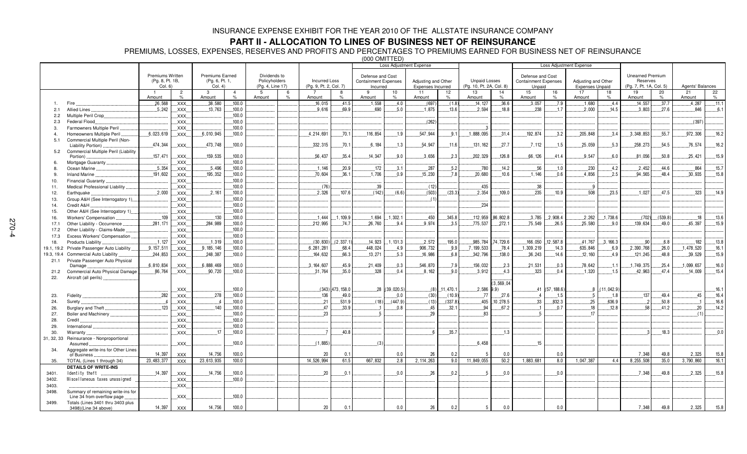### **PART II - ALLOCATION TO LINES OF BUSINESS NET OF REINSURANCE**

PREMIUMS, LOSSES, EXPENSES, RESERVES AND PROFITS AND PERCENTAGES TO PREMIUMS EARNED FOR BUSINESS NET OF REINSURANCE

(000 OMITTED)

|                |                                      |                  |                |                        |                |                  |                        |                    | Loss Adjustment Expense     |               |                     |                  | <b>Loss Adjustment Expense</b> |              |                             |            |                        |             |                         |               |                  |       |
|----------------|--------------------------------------|------------------|----------------|------------------------|----------------|------------------|------------------------|--------------------|-----------------------------|---------------|---------------------|------------------|--------------------------------|--------------|-----------------------------|------------|------------------------|-------------|-------------------------|---------------|------------------|-------|
|                |                                      |                  |                |                        |                |                  |                        |                    |                             |               |                     |                  |                                |              |                             |            |                        |             |                         |               |                  |       |
|                |                                      | Premiums Written |                | <b>Premiums Earned</b> |                | Dividends to     |                        |                    | Defense and Cost            |               |                     |                  |                                |              | Defense and Cost            |            |                        |             | <b>Unearned Premium</b> |               |                  |       |
|                |                                      | (Pg. 8, Pt. 1B,  |                | (Pg. 6, Pt. 1,         |                | Policyholders    | <b>Incurred Loss</b>   |                    | <b>Containment Expenses</b> |               | Adjusting and Other |                  | <b>Unpaid Losses</b>           |              | <b>Containment Expenses</b> |            | Adjusting and Other    |             | Reserves                |               |                  |       |
|                |                                      | Col. 6)          |                | Col. 4)                |                | (Pg. 4, Line 17) | (Pg. 9, Pt. 2, Col. 7) |                    | Incurred                    |               | Expenses Incurred   |                  | (Pg. 10, Pt. 2A, Col. 8)       |              | Unpaid                      |            | <b>Expenses Unpaid</b> |             | (Pg. 7, Pt. 1A, Col. 5) |               | Agents' Balances |       |
|                |                                      | $\overline{1}$   | $\overline{2}$ | $\mathbf{3}$           | $\overline{4}$ | -5               | -6                     | 8                  | 9                           | 10            | 11                  | 12               | 13                             | 14           | 15                          | 16         | 17                     | 18          | 19                      | 20            | 21               | 22    |
|                |                                      | Amount           | $\%$           | Amount                 | %              | Amount           | Amount                 | $\frac{1}{2}$      | Amount                      | $\frac{9}{6}$ | Amount              | $\%$             | Amount                         | $\%$         | Amount                      | $\%$       | Amount                 | $\%$        | Amount                  | $\frac{1}{2}$ | Amount           | $\%$  |
|                | Fire                                 | .26,568          | XXX.           | 38.580                 | 100.0          |                  | .16,015                | 41.5               | .1,558                      | 4.0           | (697)               | (1.8)            | 14.127                         | .36.6        | .3,057                      | 7.9        | 1.680                  | 4.4         | 14.557                  | 37.7          | .4,287           | .11.1 |
| 2.1            | Allied Lines                         | .5.242           | XXX.           | .13,763                | .100.0         |                  | .9,616                 | 69.9               | .690                        | 5.0           | 1,875               | 13.6             | 2.594                          | 18.8         | 238                         | .1.7       | .2,000                 | 14.5        | .3,803                  | 27.6          | 846              | 6.1   |
|                | Multiple Peril Crop                  |                  |                |                        | .100.0         |                  |                        |                    |                             |               |                     |                  |                                |              |                             |            |                        |             |                         |               |                  |       |
| 2.2            |                                      |                  | XXX.           |                        |                |                  |                        |                    |                             |               |                     |                  |                                |              |                             |            |                        |             |                         |               |                  |       |
| 2.3            | Federal Flood.                       |                  | XXX.           |                        | .100.0         |                  |                        |                    |                             |               | (262)               |                  |                                |              |                             |            |                        |             |                         |               | (397)            |       |
| 3.             | Farmowners Multiple Peril            |                  | XXX.           |                        | .100.0         |                  |                        |                    |                             |               |                     |                  | $\mathbf{3}$                   |              |                             |            |                        |             |                         |               |                  |       |
| $\overline{4}$ | Homeowners Multiple Peril            | 6,023,619        | XXX            | .6,010,945             | .100.0         |                  | 4,214,691              | .70.1              | .116,854                    | .1.9          | 547,944             | .9.1             | 1,888,095                      | .31.4        | .192,874                    | 3.2        | 205,848                | 3.4         | .3,348,853              | .55.7         | .972,306         | 16.2  |
| 5.1            | Commercial Multiple Peril (Non-      |                  |                |                        |                |                  |                        |                    |                             |               |                     |                  |                                |              |                             |            |                        |             |                         |               |                  |       |
|                | Liability Portion)                   | 474,344          | XXX.           | 473,748                | 100.0          |                  | 332, 315               | .70.1              | 6,184                       | 1.3           | 54,947              | 11.6             | 131, 162                       | .27.7        | .7.112                      | .1.5       | 25,059                 | 5.3         | 258,273                 | 54.5          | .76,574          | 16.2  |
| 5.2            | Commercial Multiple Peril (Liability |                  |                |                        |                |                  |                        |                    |                             |               |                     |                  |                                |              |                             |            |                        |             |                         |               |                  |       |
|                | Portion)                             | .157,471         | XXX.           | 159,535                | .100.0         |                  | 56,437                 | 35.4               | .14,347                     | 9.0           | .3,656              | .2.3             | 202,329                        | .126.8       | .66.126                     | 41.4       | .9.547                 | 6.0         | .81,056                 | .50.8         | .25.421          | 15.9  |
| 6.             | Mortgage Guaranty                    |                  | XXX.           |                        | .100.0         |                  |                        |                    |                             |               |                     |                  |                                |              |                             |            |                        |             |                         |               |                  |       |
| 8.             | Ocean Marine                         | .5.354           | XXX.           | .5.496                 | .100.0         |                  | .1.146                 | ,20.9              | .172                        | .3.1          | .287                | .5.2             | .780                           | .14.2        | .56                         | .1.0       | .230                   | 4.2         | .2,452                  | .44.6         | .864             | .15.7 |
| 9.             | Inland Marine                        | .191,602         | XXX.           | .195.352               | 100.0          |                  | .70,604                | 36.1               | .1,706                      | 0.9           | .15,230             | 7.8              | .20,680                        | .10.6        | 1.146                       | 0.6        | .4,856                 | 2.5         | 94,565                  | 48.4          | .30,935          | 15.8  |
| 10.            | Financial Guaranty.                  |                  | XXX.           |                        | 100.0          |                  |                        |                    |                             |               |                     |                  |                                |              |                             |            |                        |             |                         |               |                  |       |
| 11.            | Medical Professional Liability       |                  | .XXX.          |                        | 100.0          |                  | (76)                   |                    | .39                         |               | (12)                |                  | .435                           |              | .38                         |            | -9                     |             |                         |               |                  |       |
|                |                                      | .2.000           |                |                        |                |                  |                        |                    |                             | (6.6)         |                     |                  |                                |              | .235                        | .10.9      | .508                   | .23.5       |                         | 47.5          |                  | .14.9 |
| 12.            | Earthquake,                          |                  | XXX.           | .2,161                 | .100.0         |                  | .2,326                 | 107.6              | (142)                       |               | (503)               | (23.3)           | 2.354                          | .109.0       |                             |            |                        |             | .1,027                  |               | .323             |       |
| 13.            | Group A&H (See Interrogatory 1)      |                  | <b>XXX</b>     |                        | .100.0         |                  |                        |                    |                             |               | (1)                 |                  |                                |              |                             |            |                        |             |                         |               |                  |       |
| 14.            | Credit A&H                           |                  | XXX.           |                        | .100.0         |                  |                        |                    |                             |               |                     |                  | .234                           |              |                             |            |                        |             |                         |               |                  |       |
| 15.            | Other A&H (See Interrogatory 1)      |                  | XXX            |                        | .100.0         |                  |                        |                    |                             |               |                     |                  |                                |              |                             |            |                        |             |                         |               |                  |       |
| 16.            | Workers' Compensation                | .109             | XXX.           | .130                   | .100.0         |                  | .1.444                 | .1,109.9           | .1.694                      | 1,302.1       | .450                | .345.8           | 112,959                        | 86,802.8     | .3,785                      | 2,908.4    | .2,262                 | 1,738.6     | (702)                   | (539.8)       | .18              | .13.6 |
| 17.1           | Other Liability - Occurrence         | .281,171         | XXX.           | .284,989               | .100.0         |                  | 212,995                | .74.7              | .26,760                     | .9.4          | .9.974              | .3.5             | .775,537                       | .272.1       | .75,549                     | .26.5      | .25,580                | .9.0        | 139,634                 | .49.0         | .45,397          | .15.9 |
| 17.2           | Other Liability - Claims-Made        |                  | XXX.           |                        | 100.0          |                  |                        |                    |                             |               |                     |                  |                                |              |                             |            |                        |             |                         |               |                  |       |
| 17.3           | Excess Workers' Compensation         |                  | XXX.           |                        | .100.0         |                  |                        |                    |                             |               |                     |                  |                                |              |                             |            |                        |             |                         |               |                  |       |
|                |                                      | .1.127           |                | .1.319                 | .100.0         |                  | (30, 830)              | (2, 337.1)         | .14.923                     | 1,131.3       | .2.572              | 195.0            | 985,784                        | 4,729.6      | .166,050                    | 12.587.8   | .41,767                | 3, 166.3    | .90                     | 6.8           | .182             | 13.8  |
| 18.            | Products Liability.                  |                  | XXX.           |                        |                |                  |                        |                    |                             |               |                     |                  |                                |              |                             |            |                        |             |                         |               |                  |       |
| 19.1, 19.2     | Private Passenger Auto Liability     | .9.157.511       | XXX.           | 9, 185, 146            | 100.0          |                  | 6, 281, 281            | 68.4               | 448,024                     | .4.9          | 906,732             | 9.9              | 7, 199, 533                    | .78.4        | 1,309,219                   | .14.3      | 635,846                | 6.9         | .2.390.768              | .26.0         | .1,478,520       | 16.1  |
| 19.3, 19.4     | Commercial Auto Liability            | 244,853          | XXX.           | 248,387                | 100.0          |                  | 164,632                | 66.3               | 13,271                      | 5.3           | 16,986              | 6.8              | 342,796                        | 138.0        | .36,243                     | 14.6       | .12,160                | 4.9         | 121,245                 | 48.8          | .39,529          | 15.9  |
| 21.1           | Private Passenger Auto Physical      |                  |                |                        |                |                  |                        |                    |                             |               |                     |                  |                                |              |                             |            |                        |             |                         |               |                  |       |
|                | Damage                               | 6.810.834        | XXX.           | 6,888,469              | 100.0          |                  | .3.164.607             | 45.9               | .21,409                     | 0.3           | 546,870             | .7.9             | 156,032                        | .2.3         | .21,531                     | .0.3       | .78,642                | .1.1        | 1,749,375               | .25.4         | .1,099,657       | 16.0  |
| 21.2           | Commercial Auto Physical Damage      | .86,764          | XXX.           | .90,720                | 100.0          |                  | .31,764                | 35.0               | .328                        | 0.4           | 8.162               | 9.0              | 3.912                          | .4.3         | 323                         | 0.4        | .1.320                 | .1.5        | .42,963                 | 47.4          | .14.009          | .15.4 |
| 22.            | Aircraft (all perils)                |                  |                |                        |                |                  |                        |                    |                             |               |                     |                  |                                |              |                             |            |                        |             |                         |               |                  |       |
|                |                                      |                  |                |                        |                |                  |                        |                    |                             |               |                     |                  |                                | (3, 569, 04) |                             |            |                        |             |                         |               |                  |       |
|                |                                      |                  | XXX.           |                        | 100.0          |                  |                        | $(343)$ 473, 158.0 |                             | 28 (39.020.5) |                     | $(8)$ . 11,470.1 | $2.586$ 9.9                    |              | 41                          | (57.188.6) |                        | 8(11.042.9) |                         |               |                  | .16.1 |
| 23.            | Fidelity                             | .282             | XXX.           | .278                   | .100.0         |                  | .136                   | 49.0               |                             | 0.0           | (30)                | (10.9)           | .77                            | .27.6        |                             | .1.5       | -5                     | .1.8        | 137                     | 49.4          | .45              | .16.4 |
| 24.            | Surety                               |                  | XXX.           |                        | .100.0         |                  | .21                    | 531.9              | $(18)$ .                    | (447.9)       | (13)                | (337.8)          | .405                           | .10,278.5    | .33                         | 832.3      | .25                    | 636.9       |                         | .50.8         |                  | .16.6 |
|                | Burglary and Theft                   | .123             |                | .140                   |                |                  | .47                    | .33.9              |                             |               |                     |                  |                                |              |                             |            | .18                    |             | .58                     | .41.2         |                  |       |
| 26.            |                                      |                  | XXX.           |                        | .100.0         |                  |                        |                    |                             | 0.8           | . 45                | .32.1            | .94                            | .67.2        |                             | .0.7       |                        | .12.8       |                         |               | .20              | 14.2  |
| 27.            | Boiler and Machinery                 |                  | XXX.           |                        | .100.0         |                  | .23                    |                    |                             |               | .29                 |                  | 83                             |              | -5                          |            | .17                    |             |                         |               | (1)              |       |
| 28.            | Credit.                              |                  | XXX.           |                        | .100.0         |                  |                        |                    |                             |               |                     |                  |                                |              |                             |            |                        |             |                         |               |                  |       |
| 29.            | International                        |                  | XXX.           |                        | .100.0         |                  |                        |                    |                             |               |                     |                  |                                |              |                             |            |                        |             |                         |               |                  |       |
| 30.            | Warranty                             |                  | XXX.           | .17                    | .100.0         |                  |                        | 40.8               |                             |               | - 6                 | 35.7             |                                | .1.3         |                             |            |                        |             |                         | 18.3          |                  | 0.0   |
| 31, 32, 33     | Reinsurance - Nonproportional        |                  |                |                        |                |                  |                        |                    |                             |               |                     |                  |                                |              |                             |            |                        |             |                         |               |                  |       |
|                | Assumed                              |                  | XXX.           |                        | 100.0          |                  | (1, 885)               |                    | (3)                         |               |                     |                  | .6,458                         |              | 15                          |            |                        |             |                         |               |                  |       |
| 34.            | Aggregate write-ins for Other Lines  |                  |                |                        |                |                  |                        |                    |                             |               |                     |                  |                                |              |                             |            |                        |             |                         |               |                  |       |
|                | of Business                          | 14,397           | XXX            | 14,756                 | 100.0          |                  | 20                     | 0.1                |                             | 0.0           | 26                  | 0.2              |                                | 0.0          |                             | 0.0        |                        |             | 7,348                   | 49.8          | 2,325            | 15.8  |
| 35.            | TOTAL (Lines 1 through 34)           | 23, 483, 377     | <b>XXX</b>     | 23,613,935             | 100.0          |                  | 14.526.994             | 61.5               | 667.832                     | 2.8           | 2, 114, 263         | 9.0              | 11,849,055                     | 50.2         | 1.883.681                   | 8.0        | 1.047.387              | 4.4         | 8.255.508               | 35.0          | 3,790,860        | 16.1  |
|                | <b>DETAILS OF WRITE-INS</b>          |                  |                |                        |                |                  |                        |                    |                             |               |                     |                  |                                |              |                             |            |                        |             |                         |               |                  |       |
| 3401.          | Identity theft                       | .14.397          | XXX.           | .14,756                | .100.0         |                  | .20                    | .0.1               |                             | 0.0           | .26                 | .0.2             | $\overline{5}$                 | .0.0         |                             | 0.0        |                        |             | 7.348                   | .49.8         | .2,325           | .15.8 |
|                | Miscellaneous taxes unassigned       |                  |                |                        | 100.0          |                  |                        |                    |                             |               |                     |                  |                                |              |                             |            |                        |             |                         |               |                  |       |
| 3402.          |                                      |                  | XXX.           |                        |                |                  |                        |                    |                             |               |                     |                  |                                |              |                             |            |                        |             |                         |               |                  |       |
| 3403.          |                                      |                  | XXX.           |                        |                |                  |                        |                    |                             |               |                     |                  |                                |              |                             |            |                        |             |                         |               |                  |       |
| 3498.          | Summary of remaining write-ins for   |                  |                |                        |                |                  |                        |                    |                             |               |                     |                  |                                |              |                             |            |                        |             |                         |               |                  |       |
|                | Line 34 from overflow page           |                  | XXX.           |                        | .100.0         |                  |                        |                    |                             |               |                     |                  |                                |              |                             |            |                        |             |                         |               |                  |       |
| 3499.          | Totals (Lines 3401 thru 3403 plus    |                  |                |                        |                |                  |                        |                    |                             |               |                     |                  |                                |              |                             |            |                        |             |                         |               |                  |       |
|                | 3498)(Line 34 above)                 | 14.397           | <b>XXX</b>     | 14.756                 | 100.0          |                  | 20                     | 0.1                |                             | 0.0           | 26                  | 0.2              | 5                              | 0.0          |                             | 0.0        |                        |             | 7.348                   | 49.8          | 2.325            | 15.8  |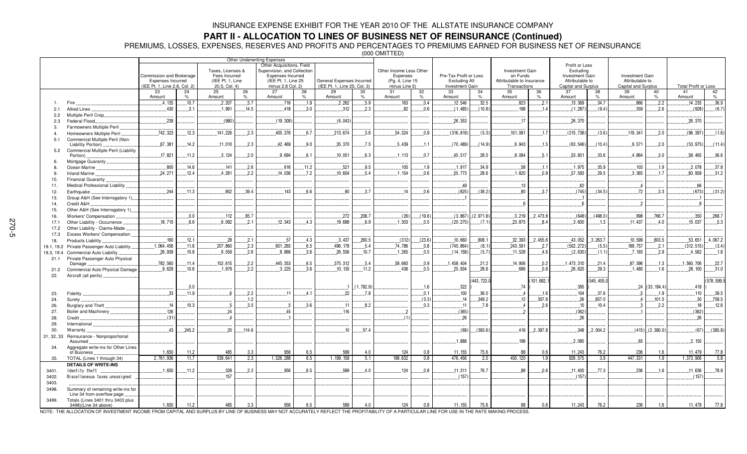## **PART II - ALLOCATION TO LINES OF BUSINESS NET OF REINSURANCE (Continued)**

PREMIUMS, LOSSES, EXPENSES, RESERVES AND PROFITS AND PERCENTAGES TO PREMIUMS EARNED FOR BUSINESS NET OF REINSURANCE

(000 OMITTED)

|                          |                                                               | Commission and Brokerage                                  |         | Taxes, Licenses &<br>Fees Incurred |               | Other Underwriting Expenses<br>Other Acquisitions, Field<br>Supervision, and Collection<br><b>Expenses Incurred</b> |               |                                                           |               | Other Income Less Other<br>Expenses |               | Pre-Tax Profit or Loss                         |            | Investment Gain<br>on Funds               |               | Profit or Loss<br>Excluding<br><b>Investment Gain</b> |           | Investment Gain                        |                       |                             |             |
|--------------------------|---------------------------------------------------------------|-----------------------------------------------------------|---------|------------------------------------|---------------|---------------------------------------------------------------------------------------------------------------------|---------------|-----------------------------------------------------------|---------------|-------------------------------------|---------------|------------------------------------------------|------------|-------------------------------------------|---------------|-------------------------------------------------------|-----------|----------------------------------------|-----------------------|-----------------------------|-------------|
|                          |                                                               | <b>Expenses Incurred</b><br>(IEE Pt. 1, Line 2.8, Col. 2) |         | (IEE Pt. 1, Line<br>20.5, Col. 4)  |               | (IEE Pt. 1, Line 25<br>minus 2.8 Col. 2)                                                                            |               | General Expenses Incurred<br>(IEE Pt. 1, Line 25, Col. 3) |               | (Pg. 4, Line 15<br>minus Line 5)    |               | <b>Excluding All</b><br><b>Investment Gain</b> |            | Attributable to Insurance<br>Transactions |               | Attributable to<br>Capital and Surplus                |           | Attributable to<br>Capital and Surplus |                       | <b>Total Profit or Loss</b> |             |
|                          |                                                               | 23                                                        | 24      | 25                                 | 26            | 27                                                                                                                  | 28            | 29                                                        | 30            | 31                                  | 32            | 33                                             | 34         | 35                                        | 36            | 37                                                    | 38        | 39                                     | 40                    | 41                          | 42          |
|                          |                                                               | Amount                                                    | %       | Amount                             | $\frac{9}{6}$ | Amount                                                                                                              | $\frac{9}{6}$ | Amount                                                    | $\frac{1}{2}$ | Amount                              | $\frac{9}{6}$ | Amount                                         | $\%$       | Amount                                    | $\frac{1}{2}$ | Amount                                                | $\%$      | Amount                                 | $\frac{1}{2}$         | Amount                      | $\%$        |
|                          | Fire                                                          | 4.135                                                     | 10.7    | 2,207                              | 5.7           | 716                                                                                                                 | 1.9           | 2,262                                                     | 5.9           | 163                                 | 0.4           | 12.546                                         | .32.5      | 823                                       | .2.1          | .13,369                                               | 34.7      | .866                                   | 2.2                   | 14.235                      | 36.9        |
| 2.1                      | Allied Lines                                                  | 430                                                       | .3.1    | .1.991                             | .14.5         | .418                                                                                                                | 3.0           | .312                                                      | .2.3          | 82                                  | 0.6           | (1.485)                                        | (10.8)     | 198                                       | .1.4          | (1, 287)                                              | (9.4)     | .359                                   | .2.6                  | (928)                       | (6.7)       |
| 2.2                      | Multiple Peril Crop                                           |                                                           |         |                                    |               |                                                                                                                     |               |                                                           |               |                                     |               |                                                |            |                                           |               |                                                       |           |                                        |                       |                             |             |
| 2.3                      | Federal Flood.                                                | .239                                                      |         | (980                               |               | (19, 308)                                                                                                           |               | (6,043)                                                   |               |                                     |               | .26.353                                        |            | .17                                       |               | .26,370                                               |           |                                        |                       | 26,370                      |             |
| 3.                       | Farmowners Multiple Peril                                     |                                                           |         |                                    |               |                                                                                                                     |               |                                                           |               |                                     |               |                                                |            |                                           |               |                                                       |           |                                        |                       |                             |             |
| $\overline{a}$           | Homeowners Multiple Peril                                     | .742,323                                                  | .12.3   | 141,226                            | 2.3           | 405,376                                                                                                             | .6.7          | .213,674                                                  | .3.6          | .54,324                             | 0.9           | (316, 819)                                     | (5.3)      | .101,081                                  | .1.7          | (215, 738)                                            | (3.6)     | .119,341                               | .2.0                  | (96, 397)                   | (1.6)       |
| 5.1                      | Commercial Multiple Peril (Non-                               |                                                           |         |                                    |               |                                                                                                                     |               |                                                           |               |                                     |               |                                                |            |                                           |               |                                                       |           |                                        |                       |                             |             |
|                          | Liability Portion).                                           | .67,381                                                   | 14.2    | .11.010                            | 2.3           | 42,469                                                                                                              | 9.0           | 35.370                                                    | .7.5          | 5.439                               | .1.1          | (70, 489)                                      | (14.9)     | .6.943                                    | .1.5          | (63, 546)                                             | (13.4)    | .9.571                                 | 2.0                   | (53, 975)                   | (11.4)      |
| 5.2                      | Commercial Multiple Peril (Liability                          |                                                           |         |                                    |               |                                                                                                                     |               |                                                           |               |                                     |               |                                                |            |                                           |               |                                                       |           |                                        |                       |                             |             |
|                          | Portion)                                                      | .17,821                                                   | .11.2   | .3,124                             | .2.0          | .9.694                                                                                                              | 6.1           | .10,051                                                   | 6.3           | .1.113                              | 0.7           | .45,517                                        | .28.5      | .8,084                                    | .5.1          | .53,601                                               | .33.6     | 4,864                                  | .3.0                  | 58,465                      | .36.6       |
| $\epsilon$               | Mortgage Guaranty                                             |                                                           |         |                                    |               |                                                                                                                     |               |                                                           |               |                                     |               |                                                |            |                                           |               |                                                       |           |                                        |                       |                             |             |
| 8                        | Ocean Marine                                                  | 800                                                       | 14.6    | .141                               | 2.6           | .616                                                                                                                | 11.2          | 521                                                       | 9.5           | 105                                 | 1.9           | .1,917                                         | 34.9       | .58                                       | 1.1           | .1.975                                                | 35.9      | 103                                    | 1.9                   | 2,078                       | 37.8        |
| 9.                       | Inland Marine                                                 | 24,271                                                    | .12.4   | .4,281                             | 2.2           | .14.036                                                                                                             | .7.2          | .10,604                                                   | .5.4          | .1,154                              | 0.6           | .55,773                                        | .28.6      | .1,820                                    | .0.9          | .57,593                                               | .29.5     | .3,365                                 | .1.7                  | .60,959                     | .31.2       |
| 10.                      | Financial Guaranty                                            |                                                           |         |                                    |               |                                                                                                                     |               |                                                           |               |                                     |               |                                                |            |                                           |               |                                                       |           |                                        |                       |                             |             |
| 11.                      | Medical Professional Liability.                               |                                                           |         |                                    |               |                                                                                                                     |               |                                                           |               |                                     |               | .49                                            |            | .13                                       |               | 62                                                    |           |                                        |                       | .66                         |             |
| 12.                      | Earthquake.                                                   | .244                                                      | $.11.3$ | 852                                | .39.4         | 143                                                                                                                 | 6.6           | 80                                                        | 3.7           | 14                                  | 0.6           | (825)                                          | (38.2)     | 80                                        | 3.7           | (745)                                                 | (34.5)    | .72                                    | 3.3                   | (673)                       | (31.2)      |
| 13.                      | Group A&H (See Interrogatory 1)                               |                                                           |         |                                    |               |                                                                                                                     |               |                                                           |               |                                     |               |                                                |            |                                           |               |                                                       |           |                                        |                       |                             |             |
| 14.                      | Credit A&H                                                    |                                                           |         |                                    |               |                                                                                                                     |               |                                                           |               |                                     |               |                                                |            |                                           |               |                                                       |           |                                        |                       |                             |             |
| 15.                      | Other A&H (See Interrogatory 1)                               |                                                           |         |                                    |               |                                                                                                                     |               |                                                           |               |                                     |               |                                                |            |                                           |               |                                                       |           |                                        |                       |                             |             |
| 16.                      | <b>Workers' Compensation</b>                                  |                                                           | .0.0    | .112                               | .85.7         |                                                                                                                     |               | .272                                                      | .208.7        | (26)                                | (19.6)        | (3,867)                                        | (2, 971.8) | .3.219                                    | .2,473.8      | (648)                                                 | (498.0)   | .998                                   | .766.7                | .350                        | .268.7      |
| 17.1                     | Other Liability - Occurrence.                                 | 18.715                                                    | 6.6     | .6.092                             | 2.1           | .12.343                                                                                                             | 43            | 19.688                                                    | 6.9           | 1.303                               | 0.5           | (20, 275)                                      | (7.1)      | .23,875                                   | 8.4           | .3,600                                                | 1.3       | 11.437                                 | 4.0                   | 15,037                      | .5.3        |
| 17.2                     | Other Liability - Claims-Made                                 |                                                           |         |                                    |               |                                                                                                                     |               |                                                           |               |                                     |               |                                                |            |                                           |               |                                                       |           |                                        |                       |                             |             |
| 17.3                     | Excess Workers' Compensation.                                 |                                                           |         |                                    |               |                                                                                                                     |               |                                                           |               |                                     |               |                                                |            |                                           |               |                                                       |           |                                        |                       |                             |             |
| 18.                      | <b>Products Liability</b>                                     | 160                                                       | .12.1   | .28                                | .2.1          | .57                                                                                                                 | 4.3           | 3.437                                                     | .260.5        | (312)                               | (23.6)        | .10.660                                        | 808.1      | .32,393                                   | .2.455.6      | .43,052                                               | .3.263.7  | .10.599                                | 803.5                 | 53,651                      | 4,067.2     |
|                          |                                                               | .1,064,456                                                | .11.6   | .207,860                           | .2.3          | .601, 265                                                                                                           | 6.5           | 496, 178                                                  | .5.4          | .74,786                             | 0.8           | (745, 864)                                     | (8.1)      | 243,591                                   | .2.7          | (502, 272)                                            | (5.5)     | 189,757                                | .2.1                  | (312, 515)                  | (3.4)       |
| 19.1, 19.2<br>19.3, 19.4 | Private Passenger Auto Liability<br>Commercial Auto Liability | .26,939                                                   | .10.8   | .6.559                             | 2.6           | .8,866                                                                                                              | 3.6           | 26,556                                                    | .10.7         | .1,265                              | .0.5          | (14, 158)                                      | (5.7)      | .11,528                                   | .4.6          | (2,630)                                               | (1.1)     | .7, 193                                | .2.9                  | .4,562                      | .1.8        |
| 21.1                     | Private Passenger Auto Physical                               |                                                           |         |                                    |               |                                                                                                                     |               |                                                           |               |                                     |               |                                                |            |                                           |               |                                                       |           |                                        |                       |                             |             |
|                          | Damage                                                        | .782,560                                                  | .11.4   | 152,615                            | 2.2           | 445,353                                                                                                             | 6.5           | 375,312                                                   | .5.4          | .58,660                             | 0.9           | 1,458,404                                      | .21.2      | 14,906                                    | 0.2           | 1,473,310                                             | 21.4      | .87,396                                | .1.3                  | 1,560,706                   | 22.7        |
| 21.2                     | Commercial Auto Physical Damage                               | .9.629                                                    | .10.6   | .1.979                             | .2.2          | .3,225                                                                                                              | 3.6           | .10,135                                                   | 11.2          | .436                                | .0.5          | .25,934                                        | .28.6      | .686                                      | .0.8          | .26,620                                               | 29.3      | .1.480                                 | .16                   | .28,100                     | 31.0        |
| 22.                      | Aircraft (all perils).                                        |                                                           |         |                                    |               |                                                                                                                     |               |                                                           |               |                                     |               |                                                |            |                                           |               |                                                       |           |                                        |                       |                             |             |
|                          |                                                               |                                                           |         |                                    |               |                                                                                                                     |               |                                                           |               |                                     |               |                                                | 443,723.0  |                                           | 101,682.1     |                                                       | 545,405.0 |                                        |                       |                             | (578, 599.5 |
|                          |                                                               |                                                           | .0.0    |                                    |               |                                                                                                                     |               |                                                           | (1,782.9)     |                                     | .1.6          | .322                                           |            | .74                                       |               | 395                                                   |           | 24                                     | (33, 194.4)           | 419                         |             |
| 23.                      | <b>Fidelity</b>                                               | .33                                                       | $.11.9$ | - 6                                | .2.2          | 11                                                                                                                  | 4.1           | 22                                                        | .7.8          |                                     | .0.1          | 100                                            | .36.0      |                                           | .1.6          | 104                                                   | .37.6     |                                        | .1.9                  | .110                        | .39.5       |
| 24.                      | Surety                                                        |                                                           |         |                                    | 1.2           |                                                                                                                     |               |                                                           |               |                                     | (3.3)         | 14                                             | 349.2      | 12                                        | 307.8         | .26                                                   | 657.0     | $\mathbf{\Lambda}$                     | .101.5                | 30                          | .758.5      |
| 26.                      | Burglary and Theft                                            | 14                                                        | 10.3    | $-5$                               | 3.5           |                                                                                                                     | 3.6           | 11                                                        | 8.2           |                                     | 0.3           | .11                                            | .7.8       |                                           | 2.6           | .15                                                   | 10.4      |                                        | .2.2                  | 18                          | 12.6        |
| 27.                      | Boiler and Machinery                                          | 126                                                       |         | .24                                |               | 45                                                                                                                  |               | 116                                                       |               | $\overline{2}$                      |               | (365)                                          |            |                                           |               | (362)                                                 |           |                                        |                       | (362)                       |             |
| 28.                      | Credit                                                        | (31)                                                      |         |                                    |               |                                                                                                                     |               |                                                           |               | (1)                                 |               | 26                                             |            |                                           |               | .26                                                   |           |                                        |                       | .26                         |             |
| 29.                      | International                                                 |                                                           |         |                                    |               |                                                                                                                     |               |                                                           |               |                                     |               |                                                |            |                                           |               |                                                       |           |                                        |                       |                             |             |
| 30.                      | Warranty                                                      | .43                                                       | .245.2  | .20                                | .114.6        |                                                                                                                     |               | .10                                                       | .57.4         |                                     |               | (68)                                           | (393.6)    | .416                                      | .2,397.8      | .348                                                  | .2,004.2  |                                        | $(415)$ . $(2,390.0)$ | (67)                        | (385.8)     |
|                          | Reinsurance - Nonproportional                                 |                                                           |         |                                    |               |                                                                                                                     |               |                                                           |               |                                     |               |                                                |            |                                           |               |                                                       |           |                                        |                       |                             |             |
| 31, 32, 33               | Assumed                                                       |                                                           |         |                                    |               |                                                                                                                     |               |                                                           |               |                                     |               | 1.888                                          |            | 198                                       |               | .2,085                                                |           | .65                                    |                       | .2,150                      |             |
| 34.                      | Aggregate write-ins for Other Lines                           |                                                           |         |                                    |               |                                                                                                                     |               |                                                           |               |                                     |               |                                                |            |                                           |               |                                                       |           |                                        |                       |                             |             |
|                          | of Business                                                   | 1.650                                                     | 11.2    | 485                                | 3.3           | 956                                                                                                                 | 6.5           | 589                                                       | 4.0           | 124                                 | 0.8           | 11.155                                         | 75.6       | 88                                        | 0.6           | 11,243                                                | 76.2      | 236                                    | 1.6                   | 11,479                      | 77.8        |
| 35.                      | TOTAL (Lines 1 through 34)                                    | 2,761,936                                                 | 11.7    | 539,641                            | 2.3           | 1,526,288                                                                                                           | 6.5           | 1, 199, 158                                               | 5.1           | 198,632                             | 0.8           | 476.456                                        | 2.0        | 450.120                                   | 1.9           | 926,575                                               | 3.9       | 447.331                                | 1.9                   | 1,373,906                   | 5.8         |
|                          | <b>DETAILS OF WRITE-INS</b>                                   |                                                           |         |                                    |               |                                                                                                                     |               |                                                           |               |                                     |               |                                                |            |                                           |               |                                                       |           |                                        |                       |                             |             |
| 3401.                    | Identity theft                                                | 1.650                                                     | .11.2   | .328                               | 2.2           | 956                                                                                                                 | 6.5           | 589                                                       | 4.0           | 124                                 | 0.8           | .11,311                                        | 76.7       | .88                                       | 0.6           | 11.400                                                | .77.3     | 236                                    | 1.6                   | 11.636                      | 78.9        |
| 3402.                    | Miscellaneous taxes unassigned                                |                                                           |         | 157                                |               |                                                                                                                     |               |                                                           |               |                                     |               | (157)                                          |            |                                           |               | (157)                                                 |           |                                        |                       | (157)                       |             |
| 3403.                    |                                                               |                                                           |         |                                    |               |                                                                                                                     |               |                                                           |               |                                     |               |                                                |            |                                           |               |                                                       |           |                                        |                       |                             |             |
| 3498.                    | Summary of remaining write-ins for                            |                                                           |         |                                    |               |                                                                                                                     |               |                                                           |               |                                     |               |                                                |            |                                           |               |                                                       |           |                                        |                       |                             |             |
|                          | Line 34 from overflow page                                    |                                                           |         |                                    |               |                                                                                                                     |               |                                                           |               |                                     |               |                                                |            |                                           |               |                                                       |           |                                        |                       |                             |             |
| 3499.                    | Totals (Lines 3401 thru 3403 plus                             |                                                           |         |                                    |               |                                                                                                                     |               |                                                           |               |                                     |               |                                                |            |                                           |               |                                                       |           |                                        |                       |                             |             |
|                          | 3498)(Line 34 above)                                          | 1,650                                                     | 11.2    | 485                                | 3.3           | 956                                                                                                                 | 6.5           | 589                                                       | 4.0           | 124                                 | 0.8           | 11, 155                                        | 75.6       | 88                                        | 0.6           | 11,243                                                | 76.2      | 236                                    | 1.6                   | 11,479                      | 77.8        |

NOTE: THE ALLOCATION OF INVESTMENT INCOME FROM CAPITAL AND SURPLUS BY LINE OF BUSINESS MAY NOT ACCURATELY REFLECT THE PROFITABILITY OF A PARTICULAR LINE FOR USE IN THE RATE MAKING PROCESS.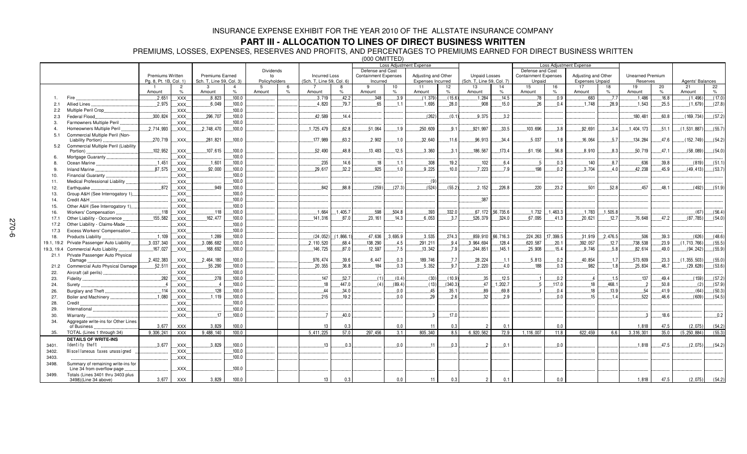## **PART III - ALLOCATION TO LINES OF DIRECT BUSINESS WRITTEN**

PREMIUMS, LOSSES, EXPENSES, RESERVES AND PROFITS, AND PERCENTAGES TO PREMIUMS EARNED FOR DIRECT BUSINESS WRITTEN

(000 OMITTED)

|                |                                                    |                        |                     |                          |                  |                    |               |                           |                  | <b>Loss Adjustment Expense</b> |            |                     | <b>Loss Adjustment Expense</b> |                           |                     |                             |            |                        |              |                         |            |                  |         |
|----------------|----------------------------------------------------|------------------------|---------------------|--------------------------|------------------|--------------------|---------------|---------------------------|------------------|--------------------------------|------------|---------------------|--------------------------------|---------------------------|---------------------|-----------------------------|------------|------------------------|--------------|-------------------------|------------|------------------|---------|
|                |                                                    |                        |                     |                          | <b>Dividends</b> |                    |               |                           | Defense and Cost |                                |            |                     |                                |                           | Defense and Cost    |                             |            |                        |              |                         |            |                  |         |
|                |                                                    | Premiums Written       |                     | <b>Premiums Earned</b>   |                  | to                 |               | <b>Incurred Loss</b>      |                  | <b>Containment Expenses</b>    |            | Adjusting and Other |                                | <b>Unpaid Losses</b>      |                     | <b>Containment Expenses</b> |            | Adjusting and Other    |              | <b>Unearned Premium</b> |            |                  |         |
|                |                                                    | Pg. 8, Pt. 1B, Col. 1) |                     | Sch. T, Line 59, Col. 3) |                  | Policyholders<br>5 | 6             | (Sch. T, Line 59, Col. 6) |                  | Incurred<br>9                  |            | Expenses Incurred   |                                | (Sch. T, Line 59, Col. 7) |                     | Unpaid                      |            | <b>Expenses Unpaid</b> |              | Reserves                |            | Agents' Balances |         |
|                |                                                    | Amount                 | $\overline{2}$<br>% | $\mathbf{3}$<br>Amount   | %                | Amount             | $\frac{1}{2}$ | Amount                    | $\%$             | Amount                         | 10<br>$\%$ | 11<br>Amount        | 12<br>$\%$                     | 13<br>Amount              | 14<br>$\%$          | 15<br>Amount                | 16<br>$\%$ | 17<br>Amount           | 18<br>$\%$   | 19<br>Amount            | 20<br>$\%$ | 21<br>Amount     | 22<br>% |
|                |                                                    | .2,651                 | .XXX.               | .8.823                   | .100.0           |                    |               | 3,719                     | .42.2            | .348                           | .3.9       | (1, 379)            | (15.6)                         | 1,284                     | 14.5                | .78                         | .0.9       | .683                   | .7.7         | 1,486                   | 16.8       | (1, 496)         | (17.0   |
| 2.1            | <b>Allied Lines</b>                                | .2,975                 | .XXX.               | .6,049                   | .100.0           |                    |               | .4,820                    | .79.7            | 65                             | 1.1        | 1,695               | .28.0                          | .908                      | 15.0                | 26                          | 0.4        | .1,748                 | 28.9         | .1.543                  | 25.5       | (1,679)          | (27.8)  |
| 2.2            | Multiple Peril Crop.                               |                        | .XXX.               |                          | 100.0            |                    |               |                           |                  |                                |            |                     |                                |                           |                     |                             |            |                        |              |                         |            |                  |         |
| 2.3            | Federal Flood                                      | .300, 824              | .XXX.               | .296,707                 | 100.0            |                    |               | 42,589                    | 14.4             |                                |            | (262)               | (0.1)                          | 9.375                     | 3.2                 |                             |            |                        |              | .180,481                | 60.8       | (169, 734)       | (57.2)  |
| 3.             | Farmowners Multiple Peril                          |                        | XXX.                |                          | 100.0            |                    |               |                           |                  |                                |            |                     |                                |                           |                     |                             |            |                        |              |                         |            |                  |         |
| $\overline{a}$ | Homeowners Multiple Peril                          | 2,714,993              |                     | .2,748,470               | .100.0           |                    |               | 1,725,479                 | 62.8             | 51,064                         | .1.9       | .250,609            | 9.1                            | .921,997                  | 33.5                | .103,696                    | 3.8        | .92,691                | .3.4         | 1,404,173               | .51.1      | (1, 531, 887)    | (55.7)  |
| 5.1            | Commercial Multiple Peril (Non-                    |                        | XXX.                |                          |                  |                    |               |                           |                  |                                |            |                     |                                |                           |                     |                             |            |                        |              |                         |            |                  |         |
|                | Liability Portion).                                | 270.719                | XXX.                | .281,821                 | .100.0           |                    |               | 177,989                   | 63.2             | .2,902                         | .1.0       | .32,640             | 11.6                           | .96,913                   | .34.4               | 5.037                       | .1.8       | .16,064                | 5.7          | 134,284                 | 47.6       | (152, 749)       | (54.2)  |
| 5.2            | Commercial Multiple Peril (Liability               |                        |                     |                          |                  |                    |               |                           |                  |                                |            |                     |                                |                           |                     |                             |            |                        |              |                         |            |                  |         |
|                | Portion)                                           | .102,952               | XXX.                | .107,615                 | .100.0           |                    |               | .52,490                   | 48.8             | 13,483                         | 12.5       | .3,360              | 3.1                            | 186,567                   | .173.4              | .61, 156                    | .56.8      | .8,910                 | 8.3          | 50,719                  | .47.1      | (58,089)         | (54.0)  |
| 6.             | Mortgage Guaranty.                                 |                        | XXX.                |                          | .100.0           |                    |               |                           |                  |                                |            |                     |                                |                           |                     |                             |            |                        |              |                         |            |                  |         |
| 8              | Ocean Marine                                       | .1.451                 | XXX.                | .1,601                   | .100.0           |                    |               | .235                      | .14.6            | .18                            | .1.1       | .308                | .19.2                          | 102                       | 6.4                 |                             | 0.3        | .140                   | 8.7          | .636                    | 39.8       | (819)            | (51.1)  |
| 9.             | <b>Inland Marine</b>                               | .87,575                | XXX.                | .92,000                  | 100.0            |                    |               | 29.617                    | 32.2             | 925                            | .1.0       | .9,225              | .10.0                          | 7.223                     | 7.9                 | 198                         | 0.2        | 3.704                  | 4.0          | 42.238                  | 45.9       | (49.413)         | (53.7)  |
| 10.            | Financial Guaranty.                                |                        | .XXX.               |                          | .100.0           |                    |               |                           |                  |                                |            |                     |                                |                           |                     |                             |            |                        |              |                         |            |                  |         |
| 11.            | Medical Professional Liability                     |                        | .XXX.               |                          | .100.0           |                    |               |                           |                  |                                |            | (9)                 |                                |                           |                     |                             |            |                        |              |                         |            |                  |         |
| 12.            | Earthquake                                         | 872                    | .XXX.               | 949                      | 100.0            |                    |               | 842                       | 88.8             | (259)                          | (27.3)     | (524)               | (55.2)                         | 2.152                     | 226.8               | 220                         | 23.2       | 501                    | 52.8         | 457                     | 48.1       | (492)            | (51.9)  |
| 13.            | Group A&H (See Interrogatory 1).                   |                        | XXX.                |                          | 100.0            |                    |               |                           |                  |                                |            |                     |                                |                           |                     |                             |            |                        |              |                         |            |                  |         |
| 14.            | Credit A&H                                         |                        | $\overline{X}$ XXX. |                          | .100.0           |                    |               |                           |                  |                                |            |                     |                                | .387                      |                     |                             |            |                        |              |                         |            |                  |         |
| 15.            | Other A&H (See Interrogatory 1)                    |                        | XXX                 |                          | .100.0           |                    |               |                           |                  |                                |            |                     |                                |                           |                     |                             |            |                        |              |                         |            |                  |         |
| 16.            | Workers' Compensation                              | .118                   | $\overline{.}$ XXX. | .118                     | .100.0           |                    |               | .1,664                    | .1.405.7         | .598                           | .504.8     | .393                | .332.0                         |                           | .67, 172 .56, 735.6 | .1,732                      | 1,463.3    | .1.783                 | 1.505.8      |                         |            | (67)             | (56.4)  |
| 17.1           | Other Liability - Occurrence                       | .155.582               | XXX                 | 162.477                  | .100.0           |                    |               | .141.316                  | .87.0            | 23.161                         | .14.3      | 6.053               | 3.7                            | 526.379                   | .324.0              | .67.095                     | .41.3      | .20.621                | .12.7        | .76.648                 | 47.2       | (87, 785)        | (54.0)  |
| 17.2           | Other Liability - Claims-Made                      |                        | XXX.                |                          | .100.0           |                    |               |                           |                  |                                |            |                     |                                |                           |                     |                             |            |                        |              |                         |            |                  |         |
|                | Excess Workers' Compensation.                      |                        | XXX.                |                          | .100.0           |                    |               |                           |                  |                                |            |                     |                                |                           |                     |                             |            |                        |              |                         |            |                  |         |
| 17.3           |                                                    | 1.109                  |                     | .1.289                   | .100.0           |                    |               | (24, 052)                 | (1,866.1)        | 47,636                         | .3,695.9   | .3,535              | .274.3                         | .859,910                  | .66,716.3           | 224,263                     | 17,399.5   | .31,919                | .2.476.5     | 506                     | .39.3      | (626)            | (48.6)  |
| 18.            | Products Liability                                 | 3,037,340              | XXX.                | .3.086.682               | .100.0           |                    |               |                           |                  | 138,290                        | .4.5       | .291,211            | 9.4                            | 3.964.694                 |                     | .620.587                    |            | .392,057               |              | 738,538                 | 23.9       | (1, 713, 766)    | (55.5)  |
| 19.1, 19.2     | Private Passenger Auto Liability                   | .167,027               | XXX.                |                          | .100.0           |                    |               | .2, 110, 520              | 68.4<br>87.0     | 12,597                         |            | .13.342             | .7.9                           |                           | .128.4<br>145.1     | .25,908                     | .20.1      | 9.746                  | .12.7<br>5.8 |                         | .49.0      |                  | (55.9)  |
| 19.3, 19.4     | Commercial Auto Liability                          |                        | XXX.                | 168,692                  |                  |                    |               | 146,725                   |                  |                                | .7.5       |                     |                                | .244.851                  |                     |                             | .15.4      |                        |              | 82,614                  |            | (94, 242)        |         |
| 21.1           | Private Passenger Auto Physical<br>Damage          | .2,402,383             | XXX.                | .2,464,180               | .100.0           |                    |               | .976,474                  | 39.6             | .6,447                         | 0.3        | 189,746             | 7.7                            | .28,224                   | .1.1                | .5,813                      | .0.2       | .40.854                | .1.7         | .573,609                | .23.3      | (1, 355, 503)    | (55.0)  |
| 21.2           | Commercial Auto Physical Damage                    | .52,511                | XXX.                | .55,290                  | .100.0           |                    |               | .20.355                   | 36.8             | 184                            | 0.3        | 5.352               | 9.7                            | .2.220                    | .4.0                | 188                         | .0.3       | .982                   | .1.8         | .25.834                 | .46.7      | (29, 628)        | (53.6)  |
| 22.            | Aircraft (all perils).                             |                        | XXX.                |                          | .100.0           |                    |               |                           |                  |                                |            |                     |                                |                           |                     |                             |            |                        |              |                         |            |                  |         |
| 23.            | Fidelity                                           | .282                   | XXX.                | .278                     | .100.0           |                    |               | 147                       | .52.7            | (1)                            | (0.4)      | (30)                | (10.9)                         | .35                       | 12.5                |                             | .0.2       |                        | .1.5         | 137                     | .49.4      | (159)            | (57.2)  |
| 24.            | Surety.                                            |                        | XXX.                | $\overline{4}$           | .100.0           |                    |               | .18                       | 447.0            | (4)                            | (89.4)     | (13)                | (340.3)                        | 47                        | .1,202.7            |                             | .117.0     | .18                    | 468.1        | $\overline{2}$          | 50.8       | (2)              | (57.9)  |
| 26.            | Burglary and Theft                                 | .114                   | XXX.                | .128                     | 100.0            |                    |               | 44                        | 34.0             |                                | 0.0        | .45                 | .35.1                          | 89                        | .69.8               |                             | 0.4        | .18                    | 13.9         | .54                     | 41.9       | (64)             | (50.3)  |
|                | Boiler and Machinery                               | 1.080                  | XXX.                | 1.119                    | 100.0            |                    |               | 215                       | 19.2             |                                | 0.0        | 29                  | 2.6                            | 32                        | 2.9                 |                             | 0.0        | 15                     | 14           | 522                     | 46.6       | (609)            | (54.5)  |
| 27.<br>28.     |                                                    |                        |                     |                          | 100.0            |                    |               |                           |                  |                                |            |                     |                                |                           |                     |                             |            |                        |              |                         |            |                  |         |
|                | Credit<br>International                            |                        | XXX.                |                          |                  |                    |               |                           |                  |                                |            |                     |                                |                           |                     |                             |            |                        |              |                         |            |                  |         |
| 29.            |                                                    |                        | XXX                 | 17                       | .100.0           |                    |               |                           |                  |                                |            | $_{\rm 3}$          |                                |                           |                     |                             |            |                        |              |                         |            |                  |         |
| 30.            | Warranty                                           |                        | XXX.                |                          | .100.0           |                    |               |                           | .40.0            |                                |            |                     | .17.0                          |                           |                     |                             |            |                        |              |                         | 18.6       |                  | .0.2    |
| 34.            | Aggregate write-ins for Other Lines<br>of Business | 3,677                  | <b>XXX</b>          | 3.829                    | 100.0            |                    |               | 13                        | 0.3              |                                | 0.0        | 11                  | 0.3                            | $\overline{2}$            | 0.1                 |                             | 0.0        |                        |              | 1,818                   | 47.5       | (2,075)          | (54.2)  |
| 35.            | TOTAL (Lines 1 through 34)                         | 9,306,241              | XXX                 | 9,488,140                | 100.0            |                    |               | 5,411,225                 | 57.0             | 297,456                        | 3.1        | 805,340             | 8.5                            | 6,920,562                 | 72.9                | 1,116,007                   | 11.8       | 622,459                | 6.6          | 3,316,301               | 35.0       | (5, 250, 884)    | (55.3)  |
|                | <b>DETAILS OF WRITE-INS</b>                        |                        |                     |                          |                  |                    |               |                           |                  |                                |            |                     |                                |                           |                     |                             |            |                        |              |                         |            |                  |         |
| 3401.          | Identity theft                                     | .3,677                 | $\mathsf{XXX}$      | .3,829                   | .100.0           |                    |               | 13                        | 0.3              |                                | 0.0        | .11                 | 0.3                            | $\mathcal{D}$             | .0.1                |                             | .0.0       |                        |              | .1.818                  | .47.5      | (2,075)          | (54.2)  |
| 3402.          | Miscellaneous taxes unassigned                     |                        | XXX.                |                          | .100.0           |                    |               |                           |                  |                                |            |                     |                                |                           |                     |                             |            |                        |              |                         |            |                  |         |
| 3403.          |                                                    |                        | XXX.                |                          | .100.0           |                    |               |                           |                  |                                |            |                     |                                |                           |                     |                             |            |                        |              |                         |            |                  |         |
| 3498.          | Summary of remaining write-ins for                 |                        |                     |                          |                  |                    |               |                           |                  |                                |            |                     |                                |                           |                     |                             |            |                        |              |                         |            |                  |         |
|                | Line 34 from overflow page                         |                        | <b>XXX</b>          |                          | .100.0           |                    |               |                           |                  |                                |            |                     |                                |                           |                     |                             |            |                        |              |                         |            |                  |         |
| 3499.          | Totals (Lines 3401 thru 3403 plus                  |                        |                     |                          |                  |                    |               |                           |                  |                                |            |                     |                                |                           |                     |                             |            |                        |              |                         |            |                  |         |
|                | 3498)(Line 34 above)                               | 3,677                  | <b>XXX</b>          | 3,829                    | 100.0            |                    |               | 13                        | 0.3              |                                | 0.0        | 11                  | 0.3                            | $\overline{2}$            | 0.1                 |                             | 0.0        |                        |              | 1,818                   | 47.5       | (2,075)          | (54.2)  |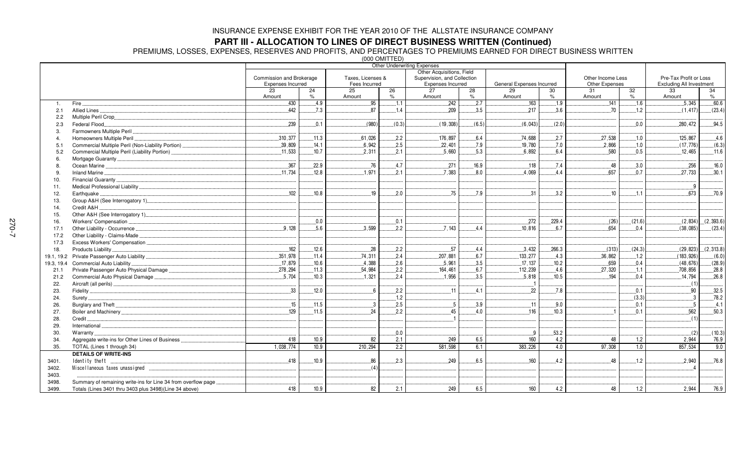### **PART III - ALLOCATION TO LINES OF DIRECT BUSINESS WRITTEN (Continued)**

PREMIUMS, LOSSES, EXPENSES, RESERVES AND PROFITS, AND PERCENTAGES TO PREMIUMS EARNED FOR DIRECT BUSINESS WRITTEN

(000 OMITTED)

|                |                                                                |                           |                     |                   | $1000$ VIIII I LUI | <b>Other Underwriting Expenses</b> |                     |                           |                     |                   |            |                                                           |            |  |
|----------------|----------------------------------------------------------------|---------------------------|---------------------|-------------------|--------------------|------------------------------------|---------------------|---------------------------|---------------------|-------------------|------------|-----------------------------------------------------------|------------|--|
|                |                                                                | Other Acquisitions, Field |                     |                   |                    |                                    |                     |                           |                     |                   |            |                                                           |            |  |
|                |                                                                | Commission and Brokerage  |                     | Taxes, Licenses & |                    | Supervision, and Collection        |                     |                           |                     | Other Income Less |            | Pre-Tax Profit or Loss<br><b>Excluding All Investment</b> |            |  |
|                |                                                                | Expenses Incurred         |                     | Fees Incurred     |                    | Expenses Incurred                  |                     | General Expenses Incurred |                     | Other Expenses    |            |                                                           |            |  |
|                |                                                                | 23                        | 24<br>$\frac{9}{6}$ | 25                | 26<br>$\%$         | 27                                 | 28<br>$\frac{9}{6}$ | 29                        | 30<br>$\frac{1}{2}$ | 31                | 32<br>$\%$ | 33                                                        | 34<br>$\%$ |  |
|                |                                                                | Amount<br>.430            | .4.9                | Amount<br>95      | .1.1               | Amount<br>242                      | 2.7                 | Amount<br>163             | 1.9                 | Amount<br>.141    | .16        | Amount<br>.5,345                                          | 60.6       |  |
| $\mathbf{1}$ . | Fire.<br>Allied Lines                                          | 442                       | 7.3                 | 87                | 1.4                | 209                                | 3.5                 | 217                       | 3.6                 | 70                | 1.2        | (1, 417)                                                  | (23.4)     |  |
| 2.1<br>2.2     |                                                                |                           |                     |                   |                    |                                    |                     |                           |                     |                   |            |                                                           |            |  |
| 2.3            | Federal Flood                                                  | .239                      | 0.1                 | (980)             | (0.3)              | (19, 308)                          | (6.5)               | (6.043)                   | (2.0)               |                   | 0.0        | 280.472                                                   | .94.5      |  |
| 3.             | Farmowners Multiple Peril                                      |                           |                     |                   |                    |                                    |                     |                           |                     |                   |            |                                                           |            |  |
|                | Homeowners Multiple Peril                                      | .310.377                  | .11.3               | 61.026            | .2.2               | 176.897                            | 6.4                 | 74.688                    | .2.7                | 27.538            | .1.0       | 125.867                                                   | .4.6       |  |
| 5.1            |                                                                | .39,809                   | .14.1               | .6,942            | .2.5               | .22,401                            | .7.9                | .19,780                   | .7.0                | .2,866            | .1.0       | (17, 776)                                                 | (6.3)      |  |
| 5.2            | Commercial Multiple Peril (Liability Portion)                  | .11,533                   | 10.7                | 2,311             | .2.1               | .5,660                             | .5.3                | 6,892                     | 6.4                 | .580              | 0.5        | .12,465                                                   | .11.6      |  |
| 6              |                                                                |                           |                     |                   |                    |                                    |                     |                           |                     |                   |            |                                                           |            |  |
|                |                                                                | .367                      | .22.9               | .76               | .4.7               | .271                               | 16.9                | .118                      | .7.4                | 48                | .3.0       | .256                                                      | 16.0       |  |
| 9              |                                                                | .11.734                   | 12.8                | 1.971             | .2.1               | 7.383                              | 8.0                 | 4.069                     | .4.4                | .657              | 0.7        | 27.733                                                    | .30.1      |  |
| 10.            |                                                                |                           |                     |                   |                    |                                    |                     |                           |                     |                   |            |                                                           |            |  |
| 11.            |                                                                |                           |                     |                   |                    |                                    |                     |                           |                     |                   |            | .9                                                        |            |  |
| 12.            | Earthquake                                                     | .102                      | 10.8                | 19                | 2.0                | .75                                | 7.9                 | 31                        | 3.2                 | 10                | .1.1       | 673                                                       | .70.9      |  |
| 13.            |                                                                |                           |                     |                   |                    |                                    |                     |                           |                     |                   |            |                                                           |            |  |
| 14.            | Credit A&H                                                     |                           |                     |                   |                    |                                    |                     |                           |                     |                   |            |                                                           |            |  |
| 15.            |                                                                |                           |                     |                   |                    |                                    |                     |                           |                     |                   |            |                                                           |            |  |
| 16.            | Workers' Compensation                                          |                           | 0.0                 |                   | 0.1                |                                    |                     | 272                       | 229.4               | (26)              | (21.6)     | (2,834)                                                   | (2, 393.6) |  |
| 17.1           | Other Liability - Occurrence                                   | .9.128                    | .5.6                | .3,599            | .2.2               | .7.143                             | 4.4                 | .10,816                   | .6.7                | .654              | .0.4       | (38,085)                                                  | (23.4)     |  |
| 17.2           | Other Liability - Claims-Made                                  |                           |                     |                   |                    |                                    |                     |                           |                     |                   |            |                                                           |            |  |
| 17.3           |                                                                |                           |                     |                   |                    |                                    |                     |                           |                     |                   |            |                                                           |            |  |
| 18.            | Products Liability                                             | 162                       | .12.6               | .28               | .2.2               | .57                                | .4.4                | .3.432                    | .266.3              | (313)             | (24.3)     | (29, 823)                                                 | (2, 313.8) |  |
|                |                                                                | .351,978                  | .11.4               | 74.311            | .2.4               | .207.881                           | 6.7                 | .133,277                  | 4.3                 | .36.862           | .1.2       | (183.926)                                                 | (6.0)      |  |
|                | 19.3, 19.4 Commercial Auto Liability                           | .17,879                   | .10.6               | 4.388             | 2.6                | .5,961                             | .3.5                | .17,137                   | .10.2               | 659               | 0.4        | (48, 676)                                                 | (28.9)     |  |
| 21.1           |                                                                | .278,294                  | .11.3               | .54,984           | .2.2               | .164,461                           | 6.7                 | .112,239                  | .4.6                | .27,320           | .1.1       | 708,856                                                   | .28.8      |  |
| 21.2           | Commercial Auto Physical Damage                                | .5,704                    | .10.3               | .1.321            | .2.4               | .1,956                             | 3.5                 | .5,818                    | .10.5               | 194               | 0.4        | .14,794                                                   | .26.8      |  |
| 22.            |                                                                |                           |                     |                   |                    |                                    |                     |                           |                     |                   |            | (1)                                                       |            |  |
| 23.            |                                                                | 33                        | .12.0               | 6                 | .2.2               | .11                                | 4.1                 | 22                        | 7.8                 |                   | 0.1        | 90                                                        | 32.5       |  |
| 24.            | Surety                                                         |                           |                     |                   | .1.2               |                                    |                     |                           |                     |                   | (3.3)      | $\mathbf{3}$                                              | 78.2       |  |
| 26.            |                                                                | .15                       | .11.5               | $\mathbf{3}$      | .2.5               | $\overline{5}$                     | .3.9                | .11                       | .9.0                |                   | 0.1        | -5                                                        | .4.1       |  |
| 27.            |                                                                | 129                       | .11.5               | 24                | 2.2                | 45                                 | 4.0                 | 116                       | 10.3                |                   | 0.1        | 562                                                       | 50.3       |  |
| 28.            | Credit.                                                        |                           |                     |                   |                    |                                    |                     |                           |                     |                   |            | (1)                                                       |            |  |
| 29.            |                                                                |                           |                     |                   |                    |                                    |                     |                           |                     |                   |            |                                                           |            |  |
| 30.            | Warranty                                                       |                           |                     |                   | 0.0                |                                    |                     | ୍ର                        | .53.2               |                   |            | (2)                                                       | (10.3)     |  |
| 34.            | Aggregate write-ins for Other Lines of Business                | 418                       | 10.9                | 82                | 2.1                | 249                                | 6.5                 | 160                       | 4.2                 | 48                | 1.2        | 2.944                                                     | 76.9       |  |
| 35.            | TOTAL (Lines 1 through 34)                                     | 1,038,774                 | 10.9                | 210,294           | $\overline{2.2}$   | 581,598                            | 6.1                 | 383,226                   | 4.0                 | 97,308            | 1.0        | 857,534                                                   | 9.0        |  |
|                | <b>DETAILS OF WRITE-INS</b>                                    |                           |                     |                   |                    |                                    |                     |                           |                     |                   |            |                                                           |            |  |
| 3401.          | Identity theft                                                 | .418                      | 10.9                | .86               | .2.3               | 249                                | 6.5                 | 160                       | 4.2                 | 48                | .1.2       | 2,940                                                     | 76.8       |  |
| 3402.          |                                                                |                           |                     | (4)               |                    |                                    |                     |                           |                     |                   |            |                                                           |            |  |
| 3403.          |                                                                |                           |                     |                   |                    |                                    |                     |                           |                     |                   |            |                                                           |            |  |
| 3498.          | Summary of remaining write-ins for Line 34 from overflow page. |                           |                     |                   |                    |                                    |                     |                           |                     |                   |            |                                                           |            |  |
| 3499.          | Totals (Lines 3401 thru 3403 plus 3498) (Line 34 above)        | 418                       | 10.9                | 82                | 2.1                | 249                                | 6.5                 | 160                       | 4.2                 | 48                | 1.2        | 2.944                                                     | 76.9       |  |
|                |                                                                |                           |                     |                   |                    |                                    |                     |                           |                     |                   |            |                                                           |            |  |